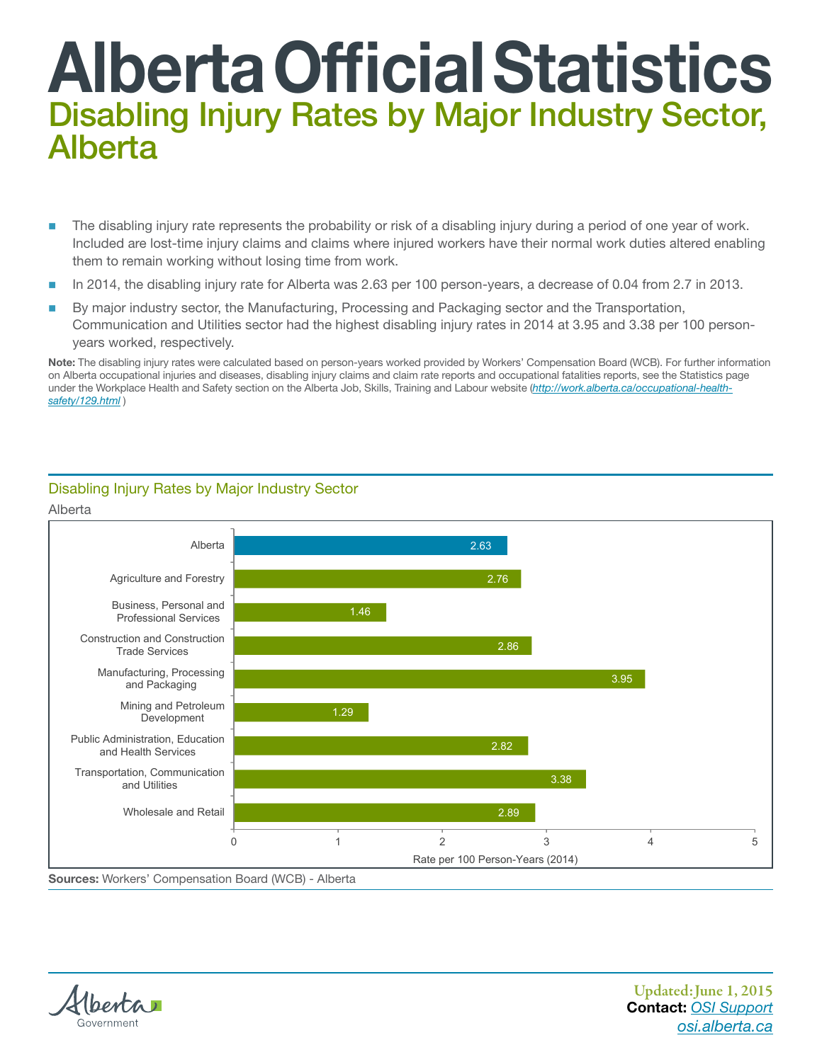## Alberta Official Statistics Disabling Injury Rates by Major Industry Sector, Alberta

- The disabling injury rate represents the probability or risk of a disabling injury during a period of one year of work. Included are lost-time injury claims and claims where injured workers have their normal work duties altered enabling them to remain working without losing time from work.
- In 2014, the disabling injury rate for Alberta was 2.63 per 100 person-years, a decrease of 0.04 from 2.7 in 2013.
- By major industry sector, the Manufacturing, Processing and Packaging sector and the Transportation, Communication and Utilities sector had the highest disabling injury rates in 2014 at 3.95 and 3.38 per 100 personyears worked, respectively.

Note: The disabling injury rates were calculated based on person-years worked provided by Workers' Compensation Board (WCB). For further information on Alberta occupational injuries and diseases, disabling injury claims and claim rate reports and occupational fatalities reports, see the Statistics page under the Workplace Health and Safety section on the Alberta Job, Skills, Training and Labour website (*[http://work.alberta.ca/occupational-health](https://www.alberta.ca/ohs-statistics.aspx)[safety/129.html](https://www.alberta.ca/ohs-statistics.aspx)* )



## Disabling Injury Rates by Major Industry Sector

Sources: Workers' Compensation Board (WCB) - Alberta



Alberta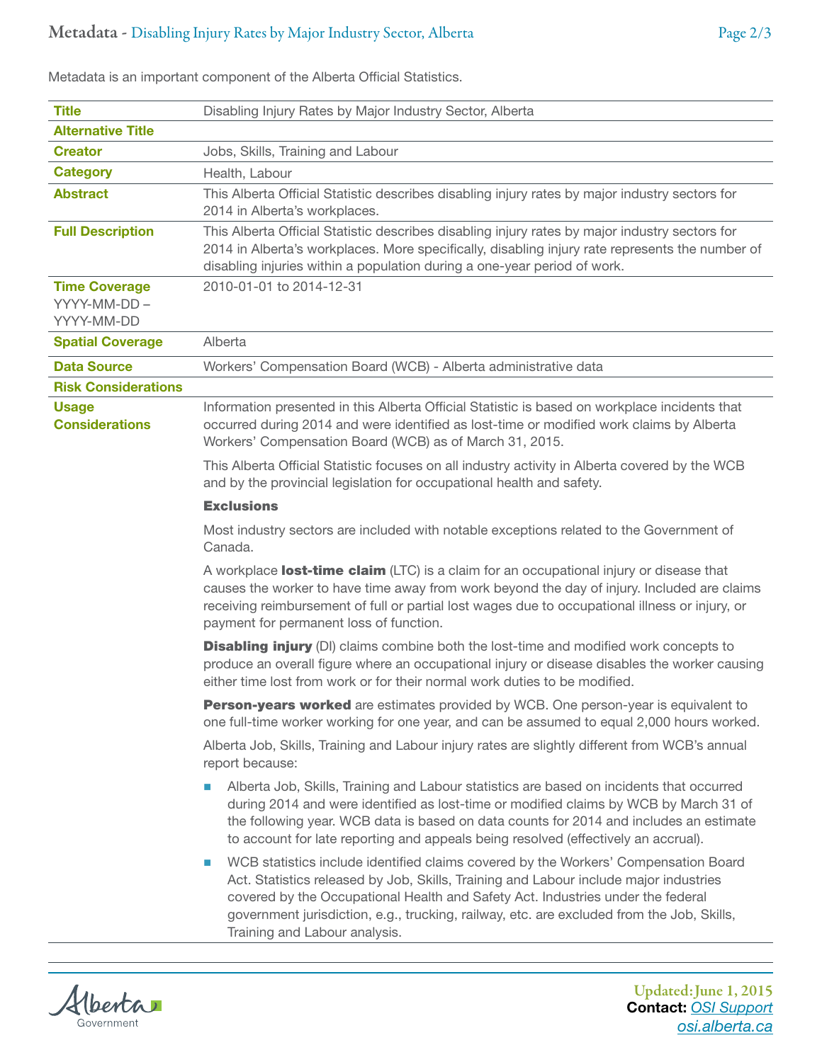| <b>Title</b>                                       | Disabling Injury Rates by Major Industry Sector, Alberta                                                                                                                                                                                                                                                                                                                                            |  |
|----------------------------------------------------|-----------------------------------------------------------------------------------------------------------------------------------------------------------------------------------------------------------------------------------------------------------------------------------------------------------------------------------------------------------------------------------------------------|--|
| <b>Alternative Title</b>                           |                                                                                                                                                                                                                                                                                                                                                                                                     |  |
| <b>Creator</b>                                     | Jobs, Skills, Training and Labour                                                                                                                                                                                                                                                                                                                                                                   |  |
| <b>Category</b>                                    | Health, Labour                                                                                                                                                                                                                                                                                                                                                                                      |  |
| <b>Abstract</b>                                    | This Alberta Official Statistic describes disabling injury rates by major industry sectors for<br>2014 in Alberta's workplaces.                                                                                                                                                                                                                                                                     |  |
| <b>Full Description</b>                            | This Alberta Official Statistic describes disabling injury rates by major industry sectors for<br>2014 in Alberta's workplaces. More specifically, disabling injury rate represents the number of<br>disabling injuries within a population during a one-year period of work.                                                                                                                       |  |
| <b>Time Coverage</b><br>YYYY-MM-DD -<br>YYYY-MM-DD | 2010-01-01 to 2014-12-31                                                                                                                                                                                                                                                                                                                                                                            |  |
| <b>Spatial Coverage</b>                            | Alberta                                                                                                                                                                                                                                                                                                                                                                                             |  |
| <b>Data Source</b>                                 | Workers' Compensation Board (WCB) - Alberta administrative data                                                                                                                                                                                                                                                                                                                                     |  |
| <b>Risk Considerations</b>                         |                                                                                                                                                                                                                                                                                                                                                                                                     |  |
| <b>Usage</b><br><b>Considerations</b>              | Information presented in this Alberta Official Statistic is based on workplace incidents that<br>occurred during 2014 and were identified as lost-time or modified work claims by Alberta<br>Workers' Compensation Board (WCB) as of March 31, 2015.                                                                                                                                                |  |
|                                                    | This Alberta Official Statistic focuses on all industry activity in Alberta covered by the WCB<br>and by the provincial legislation for occupational health and safety.                                                                                                                                                                                                                             |  |
|                                                    | <b>Exclusions</b>                                                                                                                                                                                                                                                                                                                                                                                   |  |
|                                                    | Most industry sectors are included with notable exceptions related to the Government of<br>Canada.                                                                                                                                                                                                                                                                                                  |  |
|                                                    | A workplace lost-time claim (LTC) is a claim for an occupational injury or disease that<br>causes the worker to have time away from work beyond the day of injury. Included are claims<br>receiving reimbursement of full or partial lost wages due to occupational illness or injury, or<br>payment for permanent loss of function.                                                                |  |
|                                                    | <b>Disabling injury</b> (DI) claims combine both the lost-time and modified work concepts to<br>produce an overall figure where an occupational injury or disease disables the worker causing<br>either time lost from work or for their normal work duties to be modified.                                                                                                                         |  |
|                                                    | Person-years worked are estimates provided by WCB. One person-year is equivalent to<br>one full-time worker working for one year, and can be assumed to equal 2,000 hours worked.                                                                                                                                                                                                                   |  |
|                                                    | Alberta Job, Skills, Training and Labour injury rates are slightly different from WCB's annual<br>report because:                                                                                                                                                                                                                                                                                   |  |
|                                                    | Alberta Job, Skills, Training and Labour statistics are based on incidents that occurred<br>o.<br>during 2014 and were identified as lost-time or modified claims by WCB by March 31 of<br>the following year. WCB data is based on data counts for 2014 and includes an estimate<br>to account for late reporting and appeals being resolved (effectively an accrual).                             |  |
|                                                    | WCB statistics include identified claims covered by the Workers' Compensation Board<br>o.<br>Act. Statistics released by Job, Skills, Training and Labour include major industries<br>covered by the Occupational Health and Safety Act. Industries under the federal<br>government jurisdiction, e.g., trucking, railway, etc. are excluded from the Job, Skills,<br>Training and Labour analysis. |  |